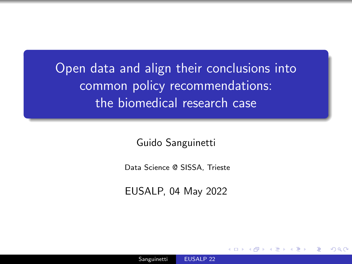<span id="page-0-0"></span>Open data and align their conclusions into common policy recommendations: the biomedical research case

Guido Sanguinetti

Data Science @ SISSA, Trieste

EUSALP, 04 May 2022

つくへ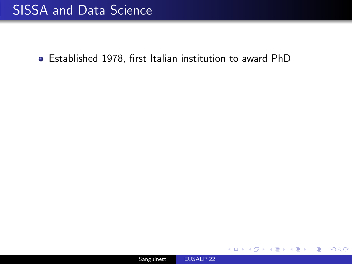## SISSA and Data Science

Established 1978, first Italian institution to award PhD

4 . EL 19

 $299$ 

∍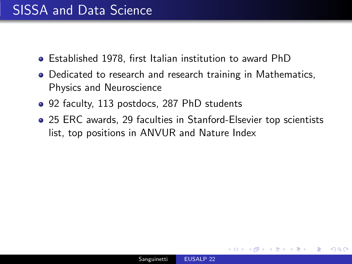## SISSA and Data Science

- Established 1978, first Italian institution to award PhD
- Dedicated to research and research training in Mathematics, Physics and Neuroscience
- 92 faculty, 113 postdocs, 287 PhD students
- 25 ERC awards, 29 faculties in Stanford-Elsevier top scientists list, top positions in ANVUR and Nature Index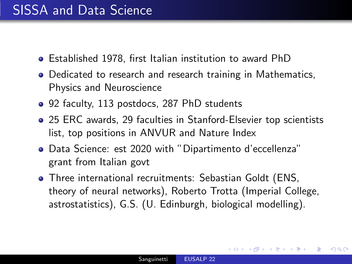- Established 1978, first Italian institution to award PhD
- Dedicated to research and research training in Mathematics, Physics and Neuroscience
- 92 faculty, 113 postdocs, 287 PhD students
- 25 ERC awards, 29 faculties in Stanford-Elsevier top scientists list, top positions in ANVUR and Nature Index
- Data Science: est 2020 with "Dipartimento d'eccellenza" grant from Italian govt
- Three international recruitments: Sebastian Goldt (ENS, theory of neural networks), Roberto Trotta (Imperial College, astrostatistics), G.S. (U. Edinburgh, biological modelling).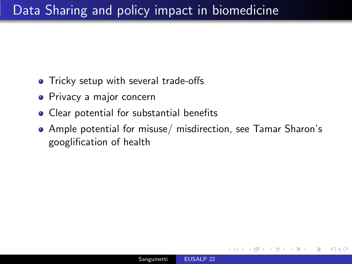- Tricky setup with several trade-offs
- Privacy a major concern
- Clear potential for substantial benefits
- Ample potential for misuse/ misdirection, see Tamar Sharon's googlification of health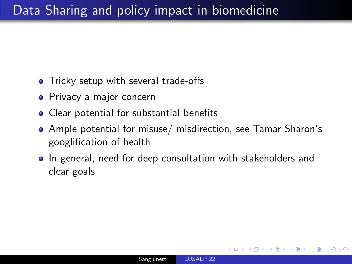- Tricky setup with several trade-offs
- Privacy a major concern
- Clear potential for substantial benefits
- Ample potential for misuse/ misdirection, see Tamar Sharon's googlification of health
- In general, need for deep consultation with stakeholders and clear goals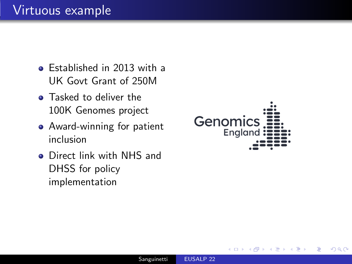## Virtuous example

- **•** Established in 2013 with a UK Govt Grant of 250M
- **•** Tasked to deliver the 100K Genomes project
- Award-winning for patient inclusion
- **o** Direct link with NHS and DHSS for policy implementation



 $200$